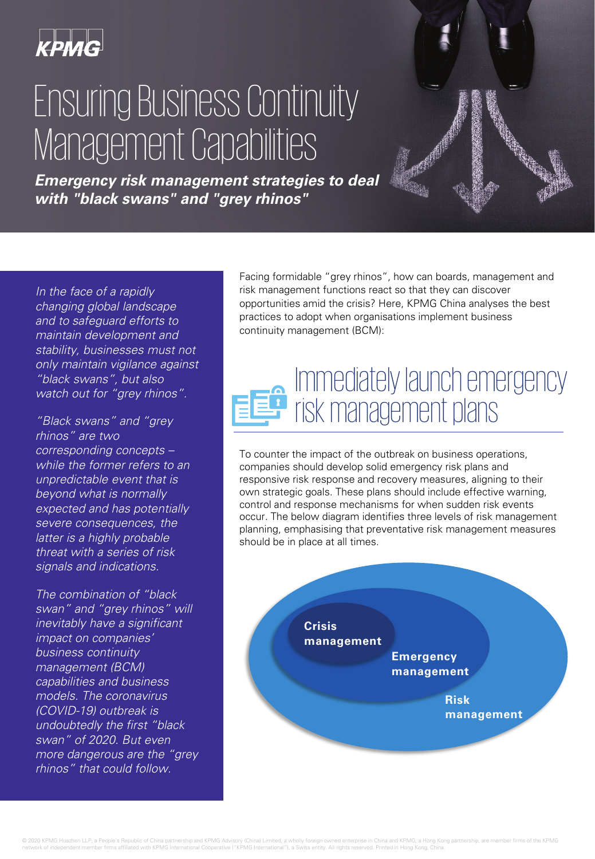

# Ensuring Business Continuity Management Capabilities

**Emergency risk management strategies to deal with "black swans" and "grey rhinos"**

In the face of a rapidly changing global landscape and to safeguard efforts to maintain development and stability, businesses must not only maintain vigilance against "black swans", but also watch out for "grey rhinos".

"Black swans" and "grey rhinos" are two corresponding concepts – while the former refers to an unpredictable event that is beyond what is normally expected and has potentially severe consequences, the latter is a highly probable threat with a series of risk signals and indications.

The combination of "black swan" and "grey rhinos" will inevitably have a significant impact on companies' business continuity management (BCM) capabilities and business models. The coronavirus (COVID-19) outbreak is undoubtedly the first "black swan" of 2020. But even more dangerous are the "grey rhinos" that could follow.

Facing formidable "grey rhinos", how can boards, management and risk management functions react so that they can discover opportunities amid the crisis? Here, KPMG China analyses the best practices to adopt when organisations implement business continuity management (BCM):

#### Immediately launch emergency risk management plans

To counter the impact of the outbreak on business operations, companies should develop solid emergency risk plans and responsive risk response and recovery measures, aligning to their own strategic goals. These plans should include effective warning, control and response mechanisms for when sudden risk events occur. The below diagram identifies three levels of risk management planning, emphasising that preventative risk management measures should be in place at all times.

**Crisis management Emergency management Risk management**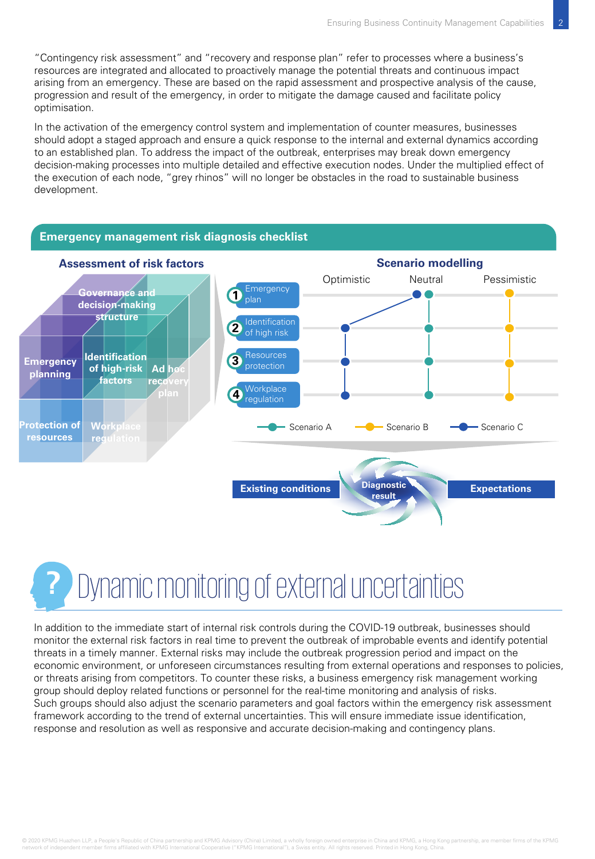"Contingency risk assessment" and "recovery and response plan" refer to processes where a business's resources are integrated and allocated to proactively manage the potential threats and continuous impact arising from an emergency. These are based on the rapid assessment and prospective analysis of the cause, progression and result of the emergency, in order to mitigate the damage caused and facilitate policy optimisation.

In the activation of the emergency control system and implementation of counter measures, businesses should adopt a staged approach and ensure a quick response to the internal and external dynamics according to an established plan. To address the impact of the outbreak, enterprises may break down emergency decision-making processes into multiple detailed and effective execution nodes. Under the multiplied effect of the execution of each node, "grey rhinos" will no longer be obstacles in the road to sustainable business development.



### **?** Dynamic monitoring of external uncertainties

In addition to the immediate start of internal risk controls during the COVID-19 outbreak, businesses should monitor the external risk factors in real time to prevent the outbreak of improbable events and identify potential threats in a timely manner. External risks may include the outbreak progression period and impact on the economic environment, or unforeseen circumstances resulting from external operations and responses to policies, or threats arising from competitors. To counter these risks, a business emergency risk management working group should deploy related functions or personnel for the real-time monitoring and analysis of risks. Such groups should also adjust the scenario parameters and goal factors within the emergency risk assessment framework according to the trend of external uncertainties. This will ensure immediate issue identification, response and resolution as well as responsive and accurate decision-making and contingency plans.